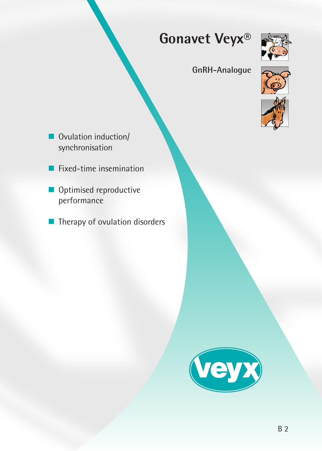



# **GnRH-Analogue**



- Ovulation induction/ synchronisation
- Fixed-time insemination
- Optimised reproductive performance
- $\blacksquare$  Therapy of ovulation disorders

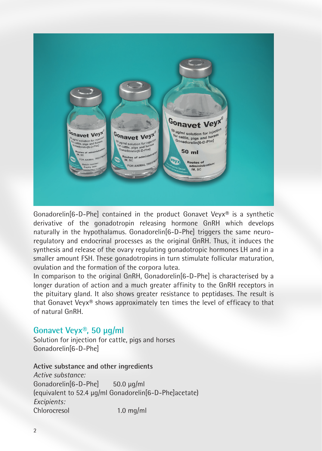

Gonadorelin[6-D-Phe] contained in the product Gonavet Veyx® is a synthetic derivative of the gonadotropin releasing hormone GnRH which develops naturally in the hypothalamus. Gonadorelin[6-D-Phe] triggers the same neuroregulatory and endocrinal processes as the original GnRH. Thus, it induces the synthesis and release of the ovary regulating gonadotropic hormones LH and in a smaller amount FSH. These gonadotropins in turn stimulate follicular maturation, ovulation and the formation of the corpora lutea.

In comparison to the original GnRH, Gonadorelin[6-D-Phe] is characterised by a longer duration of action and a much greater affinity to the GnRH receptors in the pituitary gland. It also shows greater resistance to peptidases. The result is that Gonavet Veyx® shows approximately ten times the level of efficacy to that of natural GnRH.

## **Gonavet Veyx®, 50 µg/ml**

Solution for injection for cattle, pigs and horses Gonadorelin[6-D-Phe]

**Active substance and other ingredients** *Active substance:* Gonadorelin[6-D-Phe] 50.0 μg/ml (equivalent to 52.4 μg/ml Gonadorelin[6-D-Phe]acetate) *Excipients:* Chlorocresol 1.0 mg/ml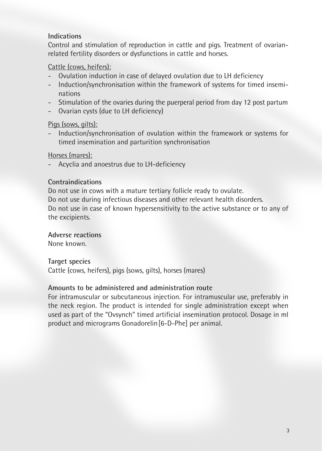## **Indications**

Control and stimulation of reproduction in cattle and pigs. Treatment of ovarianrelated fertility disorders or dysfunctions in cattle and horses.

## Cattle (cows, heifers):

- Ovulation induction in case of delayed ovulation due to LH deficiency
- Induction/synchronisation within the framework of systems for timed inseminations
- Stimulation of the ovaries during the puerperal period from day 12 post partum
- Ovarian cysts (due to LH deficiency)

### Pigs (sows, gilts):

- Induction/synchronisation of ovulation within the framework or systems for timed insemination and parturition synchronisation

### Horses (mares):

- Acyclia and anoestrus due to LH-deficiency

### **Contraindications**

Do not use in cows with a mature tertiary follicle ready to ovulate. Do not use during infectious diseases and other relevant health disorders. Do not use in case of known hypersensitivity to the active substance or to any of the excipients.

**Adverse reactions**

None known.

### **Target species**

Cattle (cows, heifers), pigs (sows, gilts), horses (mares)

### **Amounts to be administered and administration route**

For intramuscular or subcutaneous injection. For intramuscular use, preferably in the neck region. The product is intended for single administration except when used as part of the "Ovsynch" timed artificial insemination protocol. Dosage in ml product and micrograms Gonadorelin[6-D-Phe] per animal.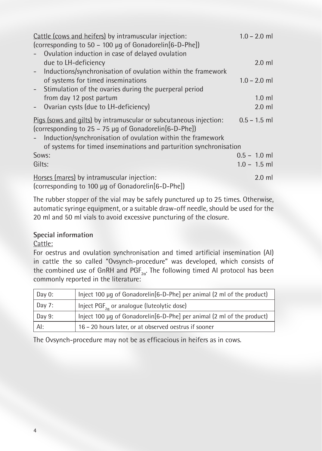| Cattle (cows and heifers) by intramuscular injection:<br>(corresponding to 50 – 100 µg of Gonadorelin[6-D-Phe])            | $1.0 - 2.0$ ml |
|----------------------------------------------------------------------------------------------------------------------------|----------------|
| Ovulation induction in case of delayed ovulation                                                                           |                |
| due to LH-deficiency                                                                                                       | $2.0$ ml       |
| Inductions/synchronisation of ovulation within the framework                                                               |                |
| of systems for timed inseminations                                                                                         | $1.0 - 2.0$ ml |
| Stimulation of the ovaries during the puerperal period<br>$\sim$                                                           |                |
| from day 12 post partum                                                                                                    | $1.0$ ml       |
| Ovarian cysts (due to LH-deficiency)                                                                                       | $2.0$ ml       |
| Pigs (sows and gilts) by intramuscular or subcutaneous injection:<br>(corresponding to 25 - 75 µg of Gonadorelin[6-D-Phe]) | $0.5 - 1.5$ ml |
| Induction/synchronisation of ovulation within the framework<br>$-$                                                         |                |
| of systems for timed inseminations and parturition synchronisation                                                         |                |
| Sows:                                                                                                                      | $0.5 - 1.0$ ml |
| Gilts:                                                                                                                     | $1.0 - 1.5$ ml |
| Horses (mares) by intramuscular injection:<br>(corresponding to 100 µg of Gonadorelin[6-D-Phe])                            | $2.0$ ml       |

The rubber stopper of the vial may be safely punctured up to 25 times. Otherwise, automatic syringe equipment, or a suitable draw-off needle, should be used for the 20 ml and 50 ml vials to avoid excessive puncturing of the closure.

## **Special information**

### Cattle:

For oestrus and ovulation synchronisation and timed artificial insemination (AI) in cattle the so called "Ovsynch-procedure" was developed, which consists of the combined use of GnRH and  $PGF_{2\alpha}$ . The following timed AI protocol has been commonly reported in the literature:

| $\vert$ Day 0: | Inject 100 $\mu$ q of Gonadorelin[6-D-Phe] per animal (2 ml of the product) |
|----------------|-----------------------------------------------------------------------------|
| Day 7:         | Inject $PGF_{2a}$ or analogue (luteolytic dose)                             |
| $\vert$ Day 9: | Inject 100 µg of Gonadorelin[6-D-Phe] per animal (2 ml of the product)      |
| . Al:          | 16 - 20 hours later, or at observed oestrus if sooner                       |

The Ovsynch-procedure may not be as efficacious in heifers as in cows.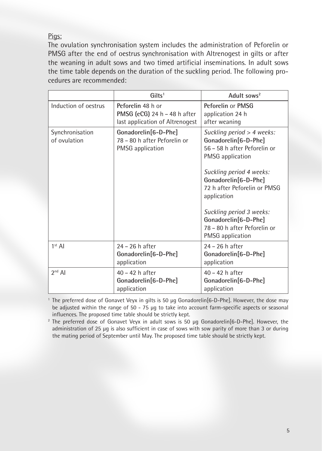Pigs:

The ovulation synchronisation system includes the administration of Peforelin or PMSG after the end of oestrus synchronisation with Altrenogest in gilts or after the weaning in adult sows and two timed artificial inseminations. In adult sows the time table depends on the duration of the suckling period. The following procedures are recommended:

|                                 | Gilts <sup>1</sup>                                                                   | Adult sows <sup>2</sup>                                                                                                                                                                                                                                                                                           |
|---------------------------------|--------------------------------------------------------------------------------------|-------------------------------------------------------------------------------------------------------------------------------------------------------------------------------------------------------------------------------------------------------------------------------------------------------------------|
| Induction of oestrus            | Peforelin 48 h or<br>PMSG (eCG) 24 h - 48 h after<br>last application of Altrenogest | Peforelin or PMSG<br>application 24 h<br>after weaning                                                                                                                                                                                                                                                            |
| Synchronisation<br>of ovulation | Gonadorelin[6-D-Phe]<br>78 - 80 h after Peforelin or<br><b>PMSG</b> application      | Suckling period > 4 weeks:<br>Gonadorelin[6-D-Phe]<br>56 - 58 h after Peforelin or<br>PMSG application<br>Suckling period 4 weeks:<br>Gonadorelin[6-D-Phe]<br>72 h after Peforelin or PMSG<br>application<br>Suckling period 3 weeks:<br>Gonadorelin[6-D-Phe]<br>78 - 80 h after Peforelin or<br>PMSG application |
| $1st$ AI                        | 24 - 26 h after<br>Gonadorelin[6-D-Phe]<br>application                               | 24 – 26 h after<br>Gonadorelin[6-D-Phe]<br>application                                                                                                                                                                                                                                                            |
| $2nd$ AI                        | $40 - 42$ h after<br>Gonadorelin[6-D-Phe]<br>application                             | $40 - 42$ h after<br>Gonadorelin[6-D-Phe]<br>application                                                                                                                                                                                                                                                          |

<sup>1</sup> The preferred dose of Gonavet Veyx in gilts is 50 µg Gonadorelin[6-D-Phe]. However, the dose may be adjusted within the range of 50 - 75 µg to take into account farm-specific aspects or seasonal influences. The proposed time table should be strictly kept.

<sup>2</sup> The preferred dose of Gonavet Veyx in adult sows is 50 µg Gonadorelin[6-D-Phe]. However, the administration of 25 µg is also sufficient in case of sows with sow parity of more than 3 or during the mating period of September until May. The proposed time table should be strictly kept.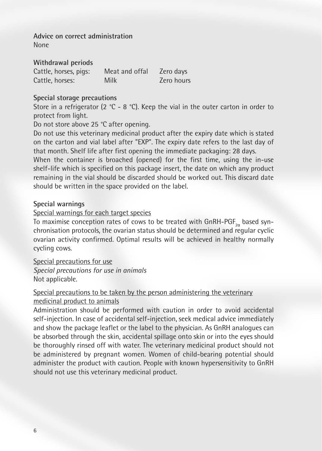**Advice on correct administration** None

**Withdrawal periods** Cattle, horses, pigs: Meat and offal Zero days Cattle, horses: Milk Zero hours

### **Special storage precautions**

Store in a refrigerator (2  $^{\circ}$ C - 8  $^{\circ}$ C). Keep the vial in the outer carton in order to protect from light.

Do not store above 25 °C after opening.

Do not use this veterinary medicinal product after the expiry date which is stated on the carton and vial label after "EXP". The expiry date refers to the last day of that month. Shelf life after first opening the immediate packaging: 28 days.

When the container is broached (opened) for the first time, using the in-use shelf-life which is specified on this package insert, the date on which any product remaining in the vial should be discarded should be worked out. This discard date should be written in the space provided on the label.

### **Special warnings**

## Special warnings for each target species

To maximise conception rates of cows to be treated with <code>GnRH-PGF $_{\rm z\alpha}$ </code> based synchronisation protocols, the ovarian status should be determined and regular cyclic ovarian activity confirmed. Optimal results will be achieved in healthy normally cycling cows.

Special precautions for use *Special precautions for use in animals* Not applicable.

## Special precautions to be taken by the person administering the veterinary medicinal product to animals

Administration should be performed with caution in order to avoid accidental self-injection. In case of accidental self-injection, seek medical advice immediately and show the package leaflet or the label to the physician. As GnRH analogues can be absorbed through the skin, accidental spillage onto skin or into the eyes should be thoroughly rinsed off with water. The veterinary medicinal product should not be administered by pregnant women. Women of child-bearing potential should administer the product with caution. People with known hypersensitivity to GnRH should not use this veterinary medicinal product.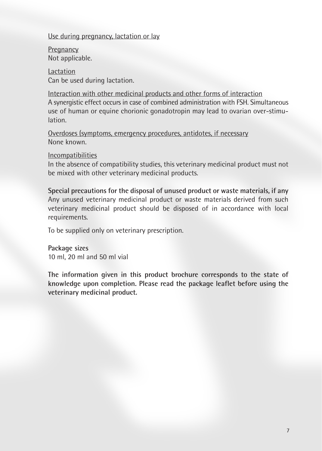### Use during pregnancy, lactation or lay

**Pregnancy** Not applicable.

Lactation Can be used during lactation.

Interaction with other medicinal products and other forms of interaction A synergistic effect occurs in case of combined administration with FSH. Simultaneous use of human or equine chorionic gonadotropin may lead to ovarian over-stimulation.

Overdoses (symptoms, emergency procedures, antidotes, if necessary None known.

Incompatibilities

In the absence of compatibility studies, this veterinary medicinal product must not be mixed with other veterinary medicinal products.

**Special precautions for the disposal of unused product or waste materials, if any** Any unused veterinary medicinal product or waste materials derived from such veterinary medicinal product should be disposed of in accordance with local requirements.

To be supplied only on veterinary prescription.

**Package sizes** 10 ml, 20 ml and 50 ml vial

**The information given in this product brochure corresponds to the state of knowledge upon completion. Please read the package leaflet before using the veterinary medicinal product.**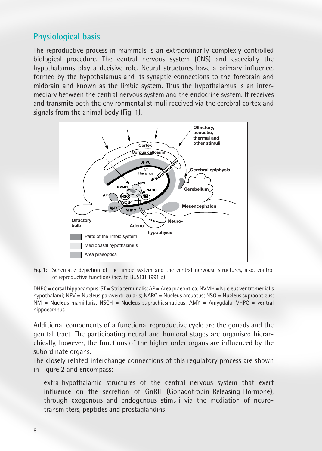## **Physiological basis**

The reproductive process in mammals is an extraordinarily complexly controlled biological procedure. The central nervous system (CNS) and especially the hypothalamus play a decisive role. Neural structures have a primary influence, formed by the hypothalamus and its synaptic connections to the forebrain and midbrain and known as the limbic system. Thus the hypothalamus is an intermediary between the central nervous system and the endocrine system. It receives and transmits both the environmental stimuli received via the cerebral cortex and signals from the animal body (Fig. 1).



Fig. 1: Schematic depiction of the limbic system and the central nervouse structures, also, control of reproductive functions (acc. to BUSCH 1991 b)

 $DHPC =$  dorsal hippocampus;  $ST = Stria$  terminalis;  $AP =$  Area praeoptica; NVMH = Nucleus ventromedialis hypothalami; NPV = Nucleus paraventricularis; NARC = Nucleus arcuatus; NSO = Nucleus supraopticus;  $NM = N$ ucleus mamillaris; NSCH = Nucleus suprachiasmaticus; AMY = Amygdala; VHPC = ventral hippocampus

Additional components of a functional reproductive cycle are the gonads and the genital tract. The participating neural and humoral stages are organised hierarchically, however, the functions of the higher order organs are influenced by the subordinate organs.

The closely related interchange connections of this regulatory process are shown in Figure 2 and encompass:

extra-hypothalamic structures of the central nervous system that exert influence on the secretion of GnRH (Gonadotropin-Releasing-Hormone), through exogenous and endogenous stimuli via the mediation of neurotransmitters, peptides and prostaglandins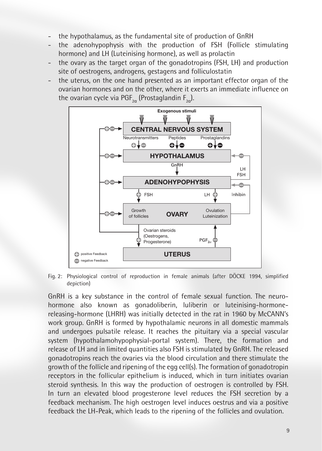- the hypothalamus, as the fundamental site of production of GnRH
- the adenohypophysis with the production of FSH (Follicle stimulating hormone) and LH (Luteinising hormone), as well as prolactin
- the ovary as the target organ of the gonadotropins (FSH, LH) and production site of oestrogens, androgens, gestagens and folliculostatin
- the uterus, on the one hand presented as an important effector organ of the ovarian hormones and on the other, where it exerts an immediate influence on the ovarian cycle via PGF<sub>2 $\alpha$ </sub> (Prostaglandin F<sub>2 $\alpha$ </sub>).



Fig. 2: Physiological control of reproduction in female animals (after DÖCKE 1994, simplified depiction)

GnRH is a key substance in the control of female sexual function. The neurohormone also known as gonadoliberin, luliberin or luteinising-hormonereleasing-hormone (LHRH) was initially detected in the rat in 1960 by McCANN's work group. GnRH is formed by hypothalamic neurons in all domestic mammals and undergoes pulsatile release. It reaches the pituitary via a special vascular system (hypothalamohypophysial-portal system). There, the formation and release of LH and in limited quantities also FSH is stimulated by GnRH. The released gonadotropins reach the ovaries via the blood circulation and there stimulate the growth of the follicle and ripening of the egg cell(s). The formation of gonadotropin receptors in the follicular epithelium is induced, which in turn initiates ovarian steroid synthesis. In this way the production of oestrogen is controlled by FSH. In turn an elevated blood progesterone level reduces the FSH secretion by a feedback mechanism. The high oestrogen level induces oestrus and via a positive feedback the LH-Peak, which leads to the ripening of the follicles and ovulation.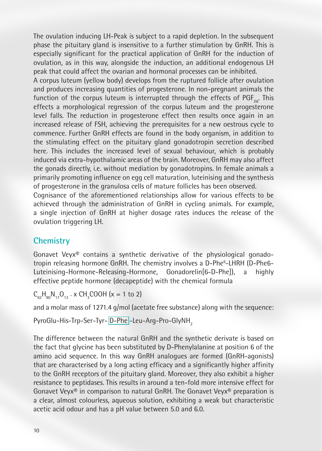The ovulation inducing LH-Peak is subject to a rapid depletion. In the subsequent phase the pituitary gland is insensitive to a further stimulation by GnRH. This is especially significant for the practical application of GnRH for the induction of ovulation, as in this way, alongside the induction, an additional endogenous LH peak that could affect the ovarian and hormonal processes can be inhibited.

A corpus luteum (yellow body) develops from the ruptured follicle after ovulation and produces increasing quantities of progesterone. In non-pregnant animals the function of the corpus luteum is interrupted through the effects of  $PGF_{2a}$ . This effects a morphological regression of the corpus luteum and the progesterone level falls. The reduction in progesterone effect then results once again in an increased release of FSH, achieving the prerequisites for a new oestrous cycle to commence. Further GnRH effects are found in the body organism, in addition to the stimulating effect on the pituitary gland gonadotropin secretion described here. This includes the increased level of sexual behaviour, which is probably induced via extra-hypothalamic areas of the brain. Moreover, GnRH may also affect the gonads directly, i.e. without mediation by gonadotropins. In female animals a primarily promoting influence on egg cell maturation, luteinising and the synthesis of progesterone in the granulosa cells of mature follicles has been observed.

Cognisance of the aforementioned relationships allow for various effects to be achieved through the administration of GnRH in cycling animals. For example, a single injection of GnRH at higher dosage rates induces the release of the ovulation triggering LH.

## **Chemistry**

Gonavet Veyx® contains a synthetic derivative of the physiological gonadotropin releasing hormone GnRH. The chemistry involves a D-Phe<sup>6</sup>-LHRH (D-Phe6-Luteinising-Hormone-Releasing-Hormone, Gonadorelin[6-D-Phe]), a highly effective peptide hormone (decapeptide) with the chemical formula

 $C_{62}H_{80}N_{17}O_{13}$   $\cdot$  x CH<sub>3</sub>COOH (x = 1 to 2)

and a molar mass of 1271.4 g/mol (acetate free substance) along with the sequence:

PyroGlu-His-Trp-Ser-Tyr-D-Phe -Leu-Arg-Pro-GlyNH<sub>2</sub>

The difference between the natural GnRH and the synthetic derivate is based on the fact that glycine has been substituted by D-Phenylalanine at position 6 of the amino acid sequence. In this way GnRH analogues are formed (GnRH-agonists) that are characterised by a long acting efficacy and a significantly higher affinity to the GnRH receptors of the pituitary gland. Moreover, they also exhibit a higher resistance to peptidases. This results in around a ten-fold more intensive effect for Gonavet Veyx® in comparison to natural GnRH. The Gonavet Veyx® preparation is a clear, almost colourless, aqueous solution, exhibiting a weak but characteristic acetic acid odour and has a pH value between 5.0 and 6.0.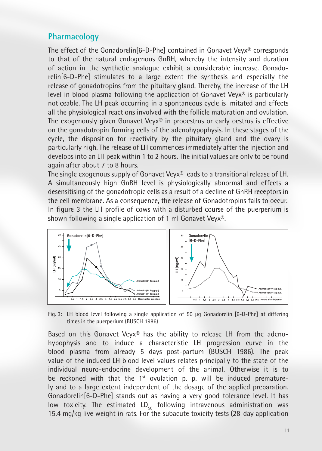## **Pharmacology**

The effect of the Gonadorelin[6-D-Phe] contained in Gonavet Veyx® corresponds to that of the natural endogenous GnRH, whereby the intensity and duration of action in the synthetic analogue exhibit a considerable increase. Gonadorelin[6-D-Phe] stimulates to a large extent the synthesis and especially the release of gonadotropins from the pituitary gland. Thereby, the increase of the LH level in blood plasma following the application of Gonavet Veyx<sup>®</sup> is particularly noticeable. The LH peak occurring in a spontaneous cycle is imitated and effects all the physiological reactions involved with the follicle maturation and ovulation. The exogenously given Gonavet Veyx® in prooestrus or early oestrus is effective on the gonadotropin forming cells of the adenohypophysis. In these stages of the cycle, the disposition for reactivity by the pituitary gland and the ovary is particularly high. The release of LH commences immediately after the injection and develops into an LH peak within 1 to 2 hours. The initial values are only to be found again after about 7 to 8 hours.

The single exogenous supply of Gonavet Veyx® leads to a transitional release of LH. A simultaneously high GnRH level is physiologically abnormal and effects a desensitising of the gonadotropic cells as a result of a decline of GnRH receptors in the cell membrane. As a consequence, the release of Gonadotropins fails to occur. In figure 3 the LH profile of cows with a disturbed course of the puerperium is shown following a single application of 1 ml Gonavet Veyx®.



Fig. 3: LH blood level following a single application of 50 μg Gonadorelin [6-D-Phe] at differing times in the puerperium (BUSCH 1986)

Based on this Gonavet Veyx® has the ability to release LH from the adenohypophysis and to induce a characteristic LH progression curve in the blood plasma from already 5 days post-partum (BUSCH 1986). The peak value of the induced LH blood level values relates principally to the state of the individual neuro-endocrine development of the animal. Otherwise it is to be reckoned with that the  $1<sup>st</sup>$  ovulation p. p. will be induced prematurely and to a large extent independent of the dosage of the applied preparation. Gonadorelin[6-D-Phe] stands out as having a very good tolerance level. It has low toxicity. The estimated  $LD_{50}$  following intravenous administration was 15.4 mg/kg live weight in rats. For the subacute toxicity tests (28-day application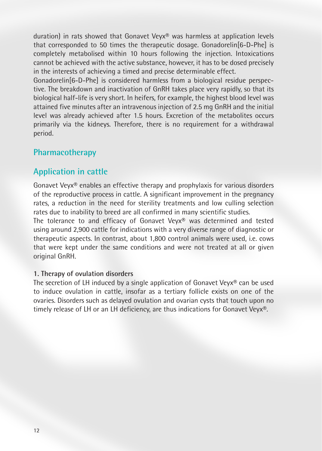duration) in rats showed that Gonavet Veyx® was harmless at application levels that corresponded to 50 times the therapeutic dosage. Gonadorelin[6-D-Phe] is completely metabolised within 10 hours following the injection. Intoxications cannot be achieved with the active substance, however, it has to be dosed precisely in the interests of achieving a timed and precise determinable effect.

Gonadorelin[6-D-Phe] is considered harmless from a biological residue perspective. The breakdown and inactivation of GnRH takes place very rapidly, so that its biological half-life is very short. In heifers, for example, the highest blood level was attained five minutes after an intravenous injection of 2.5 mg GnRH and the initial level was already achieved after 1.5 hours. Excretion of the metabolites occurs primarily via the kidneys. Therefore, there is no requirement for a withdrawal period.

## **Pharmacotherapy**

# **Application in cattle**

Gonavet Veyx® enables an effective therapy and prophylaxis for various disorders of the reproductive process in cattle. A significant improvement in the pregnancy rates, a reduction in the need for sterility treatments and low culling selection rates due to inability to breed are all confirmed in many scientific studies.

The tolerance to and efficacy of Gonavet Veyx® was determined and tested using around 2,900 cattle for indications with a very diverse range of diagnostic or therapeutic aspects. In contrast, about 1,800 control animals were used, i.e. cows that were kept under the same conditions and were not treated at all or given original GnRH.

#### **1. Therapy of ovulation disorders**

The secretion of LH induced by a single application of Gonavet Veyx<sup>®</sup> can be used to induce ovulation in cattle, insofar as a tertiary follicle exists on one of the ovaries. Disorders such as delayed ovulation and ovarian cysts that touch upon no timely release of LH or an LH deficiency, are thus indications for Gonavet Veyx®.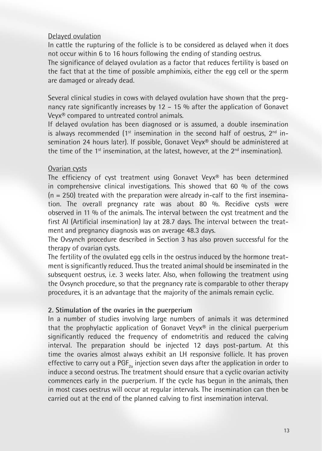#### Delayed ovulation

In cattle the rupturing of the follicle is to be considered as delayed when it does not occur within 6 to 16 hours following the ending of standing oestrus.

The significance of delayed ovulation as a factor that reduces fertility is based on the fact that at the time of possible amphimixis, either the egg cell or the sperm are damaged or already dead.

Several clinical studies in cows with delayed ovulation have shown that the pregnancy rate significantly increases by 12 – 15 % after the application of Gonavet Veyx® compared to untreated control animals.

If delayed ovulation has been diagnosed or is assumed, a double insemination is always recommended  $(1^{st}$  insemination in the second half of oestrus,  $2^{nd}$  insemination 24 hours later). If possible, Gonavet Veyx® should be administered at the time of the  $1<sup>st</sup>$  insemination, at the latest, however, at the  $2<sup>nd</sup>$  insemination).

### Ovarian cysts

The efficiency of cyst treatment using Gonavet Veyx® has been determined in comprehensive clinical investigations. This showed that 60 % of the cows  $(n = 250)$  treated with the preparation were already in-calf to the first insemination. The overall pregnancy rate was about 80 %. Recidive cysts were observed in 11 % of the animals. The interval between the cyst treatment and the first AI (Artificial insemination) lay at 28.7 days. The interval between the treatment and pregnancy diagnosis was on average 48.3 days.

The Ovsynch procedure described in Section 3 has also proven successful for the therapy of ovarian cysts.

The fertility of the ovulated egg cells in the oestrus induced by the hormone treatment is significantly reduced. Thus the treated animal should be inseminated in the subsequent oestrus, i.e. 3 weeks later. Also, when following the treatment using the Ovsynch procedure, so that the pregnancy rate is comparable to other therapy procedures, it is an advantage that the majority of the animals remain cyclic.

### **2. Stimulation of the ovaries in the puerperium**

In a number of studies involving large numbers of animals it was determined that the prophylactic application of Gonavet Veyx® in the clinical puerperium significantly reduced the frequency of endometritis and reduced the calving interval. The preparation should be injected 12 days post-partum. At this time the ovaries almost always exhibit an LH responsive follicle. It has proven effective to carry out a  $PGF_{2a}$  injection seven days after the application in order to induce a second oestrus. The treatment should ensure that a cyclic ovarian activity commences early in the puerperium. If the cycle has begun in the animals, then in most cases oestrus will occur at regular intervals. The insemination can then be carried out at the end of the planned calving to first insemination interval.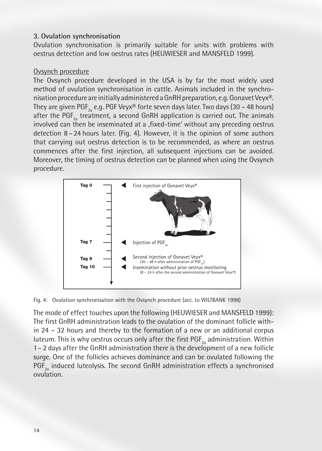#### **3. Ovulation synchronisation**

Ovulation synchronisation is primarily suitable for units with problems with oestrus detection and low oestrus rates (HEUWIESER and MANSFELD 1999).

#### Ovsynch procedure

The Ovsynch procedure developed in the USA is by far the most widely used method of ovulation synchronisation in cattle. Animals included in the synchronisation procedure are initially administered a GnRH preparation, e.g. Gonavet Veyx®. They are given PGF<sub>2</sub> e.g. PGF Veyx® forte seven days later. Two days (30 – 48 hours) after the PGF<sub>2</sub> treatment, a second GnRH application is carried out. The animals involved can then be inseminated at a , fixed-time' without any preceding oestrus detection 8 – 24 hours later. (Fig. 4). However, it is the opinion of some authors that carrying out oestrus detection is to be recommended, as where an oestrus commences after the first injection, all subsequent injections can be avoided. Moreover, the timing of oestrus detection can be planned when using the Ovsynch procedure.



Fig. 4: Ovulation synchronisation with the Ovsynch procedure (acc. to WILTBANK 1998)

The mode of effect touches upon the following (HEUWIESER and MANSFELD 1999): The first GnRH administration leads to the ovulation of the dominant follicle within 24 – 32 hours and thereby to the formation of a new or an additional corpus luteum. This is why oestrus occurs only after the first PGF<sub>2</sub> administration. Within 1– 2 days after the GnRH administration there is the development of a new follicle surge. One of the follicles achieves dominance and can be ovulated following the PGF<sub>2</sub> induced luteolysis. The second GnRH administration effects a synchronised ovulation.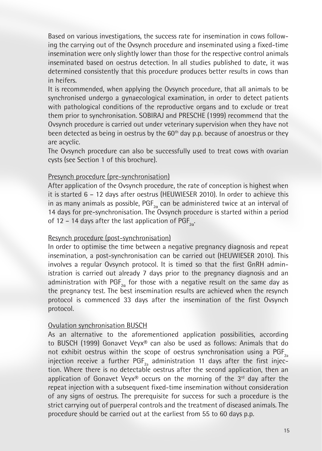Based on various investigations, the success rate for insemination in cows following the carrying out of the Ovsynch procedure and inseminated using a fixed-time insemination were only slightly lower than those for the respective control animals inseminated based on oestrus detection. In all studies published to date, it was determined consistently that this procedure produces better results in cows than in heifers.

It is recommended, when applying the Ovsynch procedure, that all animals to be synchronised undergo a gynaecological examination, in order to detect patients with pathological conditions of the reproductive organs and to exclude or treat them prior to synchronisation. SOBIRAJ and PRESCHE (1999) recommend that the Ovsynch procedure is carried out under veterinary supervision when they have not been detected as being in oestrus by the 60<sup>th</sup> day p.p. because of anoestrus or they are acyclic.

The Ovsynch procedure can also be successfully used to treat cows with ovarian cysts (see Section 1 of this brochure).

### Presynch procedure (pre-synchronisation)

After application of the Ovsynch procedure, the rate of conception is highest when it is started 6 – 12 days after oestrus (HEUWIESER 2010). In order to achieve this in as many animals as possible,  $\mathsf{PGF}_{_{2\alpha}}$  can be administered twice at an interval of 14 days for pre-synchronisation. The Ovsynch procedure is started within a period of 12 – 14 days after the last application of  $\mathrm{PGF}_{\mathrm{2}\alpha}$ .

#### Resynch procedure (post-synchronisation)

In order to optimise the time between a negative pregnancy diagnosis and repeat insemination, a post-synchronisation can be carried out (HEUWIESER 2010). This involves a regular Ovsynch protocol. It is timed so that the first GnRH administration is carried out already 7 days prior to the pregnancy diagnosis and an administration with  $\mathsf{PGF}_{\mathsf{2a}}$  for those with a negative result on the same day as the pregnancy test. The best insemination results are achieved when the resynch protocol is commenced 33 days after the insemination of the first Ovsynch protocol.

### Ovulation synchronisation BUSCH

As an alternative to the aforementioned application possibilities, according to BUSCH (1999) Gonavet Veyx® can also be used as follows: Animals that do not exhibit oestrus within the scope of oestrus synchronisation using a  $PGF_{2a}$ injection receive a further PGF<sub>2</sub> administration 11 days after the first injection. Where there is no detectable oestrus after the second application, then an application of Gonavet Veyx<sup>®</sup> occurs on the morning of the  $3<sup>rd</sup>$  day after the repeat injection with a subsequent fixed-time insemination without consideration of any signs of oestrus. The prerequisite for success for such a procedure is the strict carrying out of puerperal controls and the treatment of diseased animals. The procedure should be carried out at the earliest from 55 to 60 days p.p.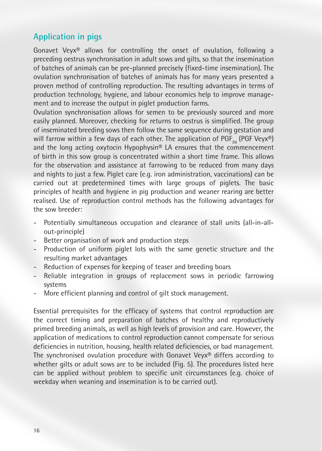## **Application in pigs**

Gonavet Veyx® allows for controlling the onset of ovulation, following a preceding oestrus synchronisation in adult sows and gilts, so that the insemination of batches of animals can be pre-planned precisely (fixed-time insemination). The ovulation synchronisation of batches of animals has for many years presented a proven method of controlling reproduction. The resulting advantages in terms of production technology, hygiene, and labour economics help to improve management and to increase the output in piglet production farms.

Ovulation synchronisation allows for semen to be previously sourced and more easily planned. Moreover, checking for returns to oestrus is simplified. The group of inseminated breeding sows then follow the same sequence during gestation and will farrow within a few days of each other. The application of PGF $_{2a}$  (PGF Veyx®) and the long acting oxytocin Hypophysin<sup>®</sup> LA ensures that the commencement of birth in this sow group is concentrated within a short time frame. This allows for the observation and assistance at farrowing to be reduced from many days and nights to just a few. Piglet care (e.g. iron administration, vaccinations) can be carried out at predetermined times with large groups of piglets. The basic principles of health and hygiene in pig production and weaner rearing are better realised. Use of reproduction control methods has the following advantages for the sow breeder:

- Potentially simultaneous occupation and clearance of stall units (all-in-allout-principle)
- Better organisation of work and production steps
- Production of uniform piglet lots with the same genetic structure and the resulting market advantages
- Reduction of expenses for keeping of teaser and breeding boars
- Reliable integration in groups of replacement sows in periodic farrowing systems
- More efficient planning and control of gilt stock management.

Essential prerequisites for the efficacy of systems that control reproduction are the correct timing and preparation of batches of healthy and reproductively primed breeding animals, as well as high levels of provision and care. However, the application of medications to control reproduction cannot compensate for serious deficiencies in nutrition, housing, health related deficiencies, or bad management. The synchronised ovulation procedure with Gonavet Veyx® differs according to whether gilts or adult sows are to be included (Fig. 5). The procedures listed here can be applied without problem to specific unit circumstances (e.g. choice of weekday when weaning and insemination is to be carried out).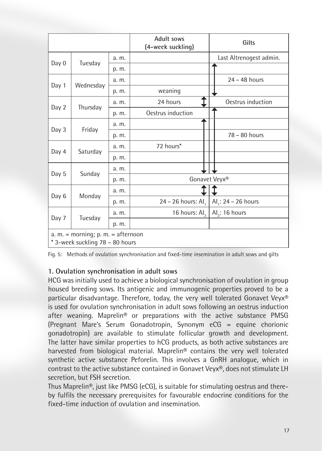|                                                                         |           |       | <b>Adult sows</b><br>(4-week suckling) | Gilts                           |  |  |
|-------------------------------------------------------------------------|-----------|-------|----------------------------------------|---------------------------------|--|--|
|                                                                         |           | a. m. |                                        | Last Altrenogest admin.         |  |  |
| Day 0                                                                   | Tuesday   | p. m. |                                        |                                 |  |  |
| Day 1                                                                   | Wednesday | a. m. |                                        | $24 - 48$ hours                 |  |  |
|                                                                         |           | p. m. | weaning                                |                                 |  |  |
|                                                                         |           | a. m. | 24 hours                               | Oestrus induction               |  |  |
| Day 2                                                                   | Thursday  | p. m. | Oestrus induction                      |                                 |  |  |
| Day 3                                                                   |           | a. m. |                                        |                                 |  |  |
|                                                                         | Friday    | p. m. |                                        | 78 - 80 hours                   |  |  |
|                                                                         |           | a. m. | 72 hours*                              |                                 |  |  |
| Day 4                                                                   | Saturday  | p. m. |                                        |                                 |  |  |
|                                                                         | Sunday    | a. m. |                                        |                                 |  |  |
| Day 5                                                                   |           | p. m. | Gonavet Veyx®                          |                                 |  |  |
|                                                                         |           | a. m. |                                        |                                 |  |  |
| Day 6                                                                   | Monday    | p. m. | 24 - 26 hours: Al,                     | Al <sub>1</sub> : 24 - 26 hours |  |  |
|                                                                         |           | a. m. | 16 hours: Al,                          | Al <sub>2</sub> : 16 hours      |  |  |
| Day 7                                                                   | Tuesday   | p. m. |                                        |                                 |  |  |
| a. $m =$ morning; p. $m =$ afternoon<br>* 3-week suckling 78 - 80 hours |           |       |                                        |                                 |  |  |

Fig. 5: Methods of ovulation synchronisation and fixed-time insemination in adult sows and gilts

### **1. Ovulation synchronisation in adult sows**

HCG was initially used to achieve a biological synchronisation of ovulation in group housed breeding sows. Its antigenic and immunogenic properties proved to be a particular disadvantage. Therefore, today, the very well tolerated Gonavet Veyx® is used for ovulation synchronisation in adult sows following an oestrus induction after weaning. Maprelin® or preparations with the active substance PMSG (Pregnant Mare's Serum Gonadotropin, Synonym eCG = equine chorionic gonadotropin) are available to stimulate follicular growth and development. The latter have similar properties to hCG products, as both active substances are harvested from biological material. Maprelin® contains the very well tolerated synthetic active substance Peforelin. This involves a GnRH analogue, which in contrast to the active substance contained in Gonavet Veyx®, does not stimulate LH secretion, but FSH secretion.

Thus Maprelin®, just like PMSG (eCG), is suitable for stimulating oestrus and thereby fulfils the necessary prerequisites for favourable endocrine conditions for the fixed-time induction of ovulation and insemination.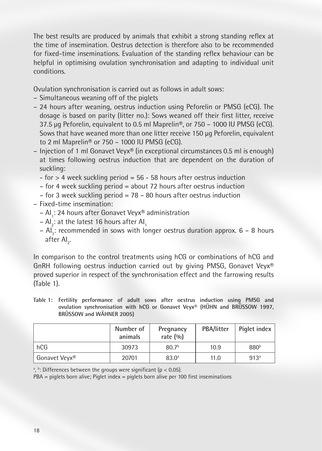The best results are produced by animals that exhibit a strong standing reflex at the time of insemination. Oestrus detection is therefore also to be recommended for fixed-time inseminations. Evaluation of the standing reflex behaviour can be helpful in optimising ovulation synchronisation and adapting to individual unit conditions.

Ovulation synchronisation is carried out as follows in adult sows:

- Simultaneous weaning off of the piglets
- 24 hours after weaning, oestrus induction using Peforelin or PMSG (eCG). The dosage is based on parity (litter no.): Sows weaned off their first litter, receive 37.5 μg Peforelin, equivalent to 0.5 ml Maprelin®, or 750 – 1000 IU PMSG (eCG). Sows that have weaned more than one litter receive 150 μg Peforelin, equivalent to 2 ml Maprelin® or 750 – 1000 IU PMSG (eCG).
- Injection of 1 ml Gonavet Veyx® (in exceptional circumstances 0.5 ml is enough) at times following oestrus induction that are dependent on the duration of suckling:
	- $-$  for  $>$  4 week suckling period = 56  $-$  58 hours after oestrus induction
	- for 4 week suckling period = about 72 hours after oestrus induction
	- for 3 week suckling period =  $78 80$  hours after oestrus induction
- Fixed-time insemination:
	- Al<sub>1</sub>: 24 hours after Gonavet Veyx® administration
	- Al $_2$ : at the latest 16 hours after Al $_1$
	- $-$  Al<sub>3</sub>: recommended in sows with longer oestrus duration approx.  $6$  8 hours after Al<sub>2</sub>.

In comparison to the control treatments using hCG or combinations of hCG and GnRH following oestrus induction carried out by giving PMSG, Gonavet Veyx® proved superior in respect of the synchronisation effect and the farrowing results (Table 1).

**Table 1: Fertility performance of adult sows after oestrus induction using PMSG and ovulation synchronisation with hCG or Gonavet Veyx® (HÜHN and BRÜSSOW 1997, BRÜSSOW and WÄHNER 2005)**

|               | Number of<br>animals | Pregnancy<br>rate $(%$ | PBA/litter | Piglet index     |
|---------------|----------------------|------------------------|------------|------------------|
| hCG           | 30973                | 80.7 <sup>b</sup>      | 10.9       | 880 <sup>b</sup> |
| Gonavet Veyx® | 20701                | $83.0^{\circ}$         | 11.0       | 913 <sup>a</sup> |

 $^{\circ}$ ,  $^{\circ}$ : Differences between the groups were significant (p < 0.05).

PBA = piglets born alive; Piglet index = piglets born alive per 100 first inseminations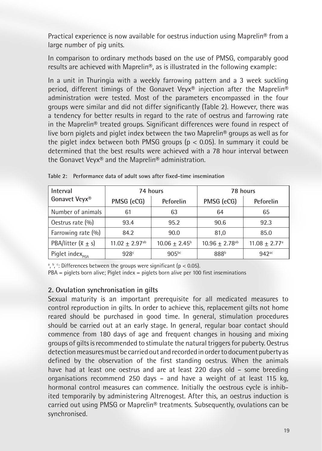Practical experience is now available for oestrus induction using Maprelin® from a large number of pig units.

In comparison to ordinary methods based on the use of PMSG, comparably good results are achieved with Maprelin®, as is illustrated in the following example:

In a unit in Thuringia with a weekly farrowing pattern and a 3 week suckling period, different timings of the Gonavet Veyx® injection after the Maprelin® administration were tested. Most of the parameters encompassed in the four groups were similar and did not differ significantly (Table 2). However, there was a tendency for better results in regard to the rate of oestrus and farrowing rate in the Maprelin® treated groups. Significant differences were found in respect of live born piglets and piglet index between the two Maprelin® groups as well as for the piglet index between both PMSG groups ( $p < 0.05$ ). In summary it could be determined that the best results were achieved with a 78 hour interval between the Gonavet Veyx® and the Maprelin® administration.

| Interval                     |                                | 74 hours                 | 78 hours                       |                             |  |
|------------------------------|--------------------------------|--------------------------|--------------------------------|-----------------------------|--|
| Gonavet Veyx®                | PMSG (eCG)                     | Peforelin                | PMSG (eCG)                     | Peforelin                   |  |
| Number of animals            | 61                             | 63                       | 64                             | 65                          |  |
| Oestrus rate (%)             | 93.4                           | 95.2                     | 90.6                           | 92.3                        |  |
| Farrowing rate (%)           | 84.2                           | 90.0                     | 81.0                           | 85.0                        |  |
| PBA/litter $(\bar{x} \pm s)$ | $11.02 \pm 2.97$ <sup>ab</sup> | $10.06 \pm 2.45^{\circ}$ | $10.96 \pm 2.78$ <sup>ab</sup> | $11.08 + 2.77$ <sup>a</sup> |  |
| Piglet index <sub>PGA</sub>  | 928 <sup>c</sup>               | 905 <sup>bc</sup>        | 888 <sup>b</sup>               | $942$ <sup>ac</sup>         |  |

**Table 2: Performance data of adult sows after fixed-time insemination**

a, b, c. Differences between the groups were significant (p < 0.05).

PBA = piglets born alive; Piglet index = piglets born alive per 100 first inseminations

#### **2. Ovulation synchronisation in gilts**

Sexual maturity is an important prerequisite for all medicated measures to control reproduction in gilts. In order to achieve this, replacement gilts not home reared should be purchased in good time. In general, stimulation procedures should be carried out at an early stage. In general, regular boar contact should commence from 180 days of age and frequent changes in housing and mixing groups of gilts is recommended to stimulate the natural triggers for puberty. Oestrus detection measures must be carried out and recorded in order to document puberty as defined by the observation of the first standing oestrus. When the animals have had at least one oestrus and are at least 220 days old – some breeding organisations recommend 250 days – and have a weight of at least 115 kg, hormonal control measures can commence. Initially the oestrous cycle is inhibited temporarily by administering Altrenogest. After this, an oestrus induction is carried out using PMSG or Maprelin® treatments. Subsequently, ovulations can be synchronised.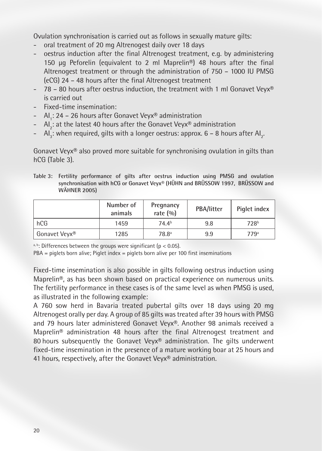Ovulation synchronisation is carried out as follows in sexually mature gilts:

- oral treatment of 20 mg Altrenogest daily over 18 days
- oestrus induction after the final Altrenogest treatment, e.g. by administering 150 μg Peforelin (equivalent to 2 ml Maprelin®) 48 hours after the final Altrenogest treatment or through the administration of 750 – 1000 IU PMSG (eCG) 24 – 48 hours after the final Altrenogest treatment
- 78 80 hours after oestrus induction, the treatment with 1 ml Gonavet Veyx® is carried out
- Fixed-time insemination:
- AI<sub>1</sub>: 24 26 hours after Gonavet Veyx® administration
- $\,$  Al $_2$ : at the latest 40 hours after the Gonavet Veyx® administration
- $\,$  Al $_{3}$ : when required, gilts with a longer oestrus: approx. 6 8 hours after Al $_{2}$ .

Gonavet Veyx® also proved more suitable for synchronising ovulation in gilts than hCG (Table 3).

|                     | Table 3: Fertility performance of gilts after oestrus induction using PMSG and ovulation |  |  |  |  |  |
|---------------------|------------------------------------------------------------------------------------------|--|--|--|--|--|
|                     | synchronisation with hCG or Gonavet Veyx® (HÜHN and BRÜSSOW 1997, BRÜSSOW and            |  |  |  |  |  |
| <b>WAHNER 2005)</b> |                                                                                          |  |  |  |  |  |

|               | Number of<br>animals | Pregnancy<br>rate $(%$ | PBA/litter | Piglet index     |
|---------------|----------------------|------------------------|------------|------------------|
| hCG           | 1459                 | 74.4 <sup>b</sup>      | 9.8        | 728 <sup>b</sup> |
| Gonavet Veyx® | 1285                 | 78.8 <sup>a</sup>      | 9.9        | $779^{\circ}$    |

a, b: Differences between the groups were significant ( $p < 0.05$ ).

PBA = piglets born alive; Piglet index = piglets born alive per 100 first inseminations

Fixed-time insemination is also possible in gilts following oestrus induction using Maprelin®, as has been shown based on practical experience on numerous units. The fertility performance in these cases is of the same level as when PMSG is used, as illustrated in the following example:

A 760 sow herd in Bavaria treated pubertal gilts over 18 days using 20 mg Altrenogest orally per day. A group of 85 gilts was treated after 39 hours with PMSG and 79 hours later administered Gonavet Veyx®. Another 98 animals received a Maprelin® administration 48 hours after the final Altrenogest treatment and 80 hours subsequently the Gonavet Veyx® administration. The gilts underwent fixed-time insemination in the presence of a mature working boar at 25 hours and 41 hours, respectively, after the Gonavet Veyx® administration.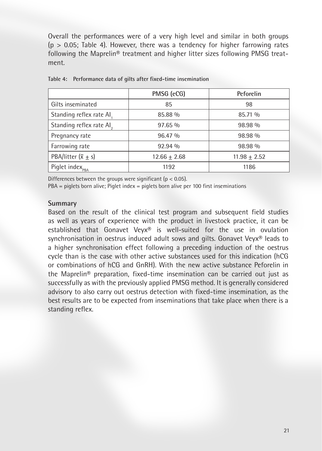Overall the performances were of a very high level and similar in both groups  $(p > 0.05$ ; Table 4). However, there was a tendency for higher farrowing rates following the Maprelin® treatment and higher litter sizes following PMSG treatment.

|                              | PMSG (eCG)     | Peforelin      |
|------------------------------|----------------|----------------|
| Gilts inseminated            | 85             | 98             |
| Standing reflex rate Al.     | 85.88 %        | 85.71 %        |
| Standing reflex rate Al,     | 97.65%         | 98.98 %        |
| Pregnancy rate               | 96.47 %        | 98.98 %        |
| Farrowing rate               | $92.94\%$      | 98.98 %        |
| PBA/litter $(\bar{x} \pm s)$ | $12.66 + 2.68$ | $11.98 + 2.52$ |
| Piglet index <sub>PBA</sub>  | 1192           | 1186           |

**Table 4: Performance data of gilts after fixed-time insemination**

Differences between the groups were significant ( $p < 0.05$ ).

PBA = piglets born alive; Piglet index = piglets born alive per 100 first inseminations

#### **Summary**

Based on the result of the clinical test program and subsequent field studies as well as years of experience with the product in livestock practice, it can be established that Gonavet Veyx® is well-suited for the use in ovulation synchronisation in oestrus induced adult sows and gilts. Gonavet Veyx® leads to a higher synchronisation effect following a preceding induction of the oestrus cycle than is the case with other active substances used for this indication (hCG or combinations of hCG and GnRH). With the new active substance Peforelin in the Maprelin® preparation, fixed-time insemination can be carried out just as successfully as with the previously applied PMSG method. It is generally considered advisory to also carry out oestrus detection with fixed-time insemination, as the best results are to be expected from inseminations that take place when there is a standing reflex.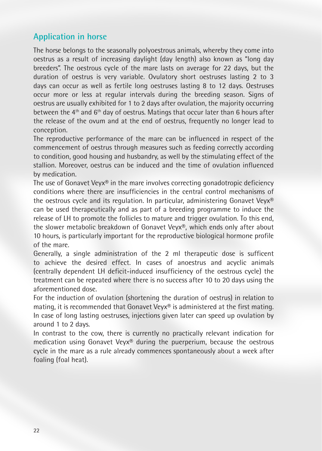## **Application in horse**

The horse belongs to the seasonally polyoestrous animals, whereby they come into oestrus as a result of increasing daylight (day length) also known as "long day breeders". The oestrous cycle of the mare lasts on average for 22 days, but the duration of oestrus is very variable. Ovulatory short oestruses lasting 2 to 3 days can occur as well as fertile long oestruses lasting 8 to 12 days. Oestruses occur more or less at regular intervals during the breeding season. Signs of oestrus are usually exhibited for 1 to 2 days after ovulation, the majority occurring between the 4<sup>th</sup> and 6<sup>th</sup> day of oestrus. Matings that occur later than 6 hours after the release of the ovum and at the end of oestrus, frequently no longer lead to conception.

The reproductive performance of the mare can be influenced in respect of the commencement of oestrus through measures such as feeding correctly according to condition, good housing and husbandry, as well by the stimulating effect of the stallion. Moreover, oestrus can be induced and the time of ovulation influenced by medication.

The use of Gonavet Veyx® in the mare involves correcting gonadotropic deficiency conditions where there are insufficiencies in the central control mechanisms of the oestrous cycle and its regulation. In particular, administering Gonavet Veyx® can be used therapeutically and as part of a breeding programme to induce the release of LH to promote the follicles to mature and trigger ovulation. To this end, the slower metabolic breakdown of Gonavet Veyx®, which ends only after about 10 hours, is particularly important for the reproductive biological hormone profile of the mare.

Generally, a single administration of the 2 ml therapeutic dose is sufficent to achieve the desired effect. In cases of anoestrus and acyclic animals (centrally dependent LH deficit-induced insufficiency of the oestrous cycle) the treatment can be repeated where there is no success after 10 to 20 days using the aforementioned dose.

For the induction of ovulation (shortening the duration of oestrus) in relation to mating, it is recommended that Gonavet Veyx® is administered at the first mating. In case of long lasting oestruses, injections given later can speed up ovulation by around 1 to 2 days.

In contrast to the cow, there is currently no practically relevant indication for medication using Gonavet Veyx® during the puerperium, because the oestrous cycle in the mare as a rule already commences spontaneously about a week after foaling (foal heat).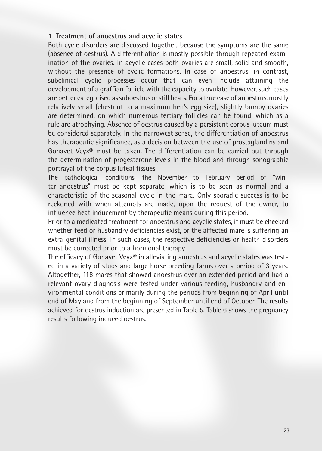### **1. Treatment of anoestrus and acyclic states**

Both cycle disorders are discussed together, because the symptoms are the same (absence of oestrus). A differentiation is mostly possible through repeated examination of the ovaries. In acyclic cases both ovaries are small, solid and smooth, without the presence of cyclic formations. In case of anoestrus, in contrast, subclinical cyclic processes occur that can even include attaining the development of a graffian follicle with the capacity to ovulate. However, such cases are better categorised as suboestrus or still heats. For a true case of anoestrus, mostly relatively small (chestnut to a maximum hen's egg size), slightly bumpy ovaries are determined, on which numerous tertiary follicles can be found, which as a rule are atrophying. Absence of oestrus caused by a persistent corpus luteum must be considered separately. In the narrowest sense, the differentiation of anoestrus has therapeutic significance, as a decision between the use of prostaglandins and Gonavet Veyx® must be taken. The differentiation can be carried out through the determination of progesterone levels in the blood and through sonographic portrayal of the corpus luteal tissues.

The pathological conditions, the November to February period of "winter anoestrus" must be kept separate, which is to be seen as normal and a characteristic of the seasonal cycle in the mare. Only sporadic success is to be reckoned with when attempts are made, upon the request of the owner, to influence heat inducement by therapeutic means during this period.

Prior to a medicated treatment for anoestrus and acyclic states, it must be checked whether feed or husbandry deficiencies exist, or the affected mare is suffering an extra-genital illness. In such cases, the respective deficiencies or health disorders must be corrected prior to a hormonal therapy.

The efficacy of Gonavet Veyx® in alleviating anoestrus and acyclic states was tested in a variety of studs and large horse breeding farms over a period of 3 years. Altogether, 118 mares that showed anoestrus over an extended period and had a relevant ovary diagnosis were tested under various feeding, husbandry and environmental conditions primarily during the periods from beginning of April until end of May and from the beginning of September until end of October. The results achieved for oestrus induction are presented in Table 5. Table 6 shows the pregnancy results following induced oestrus.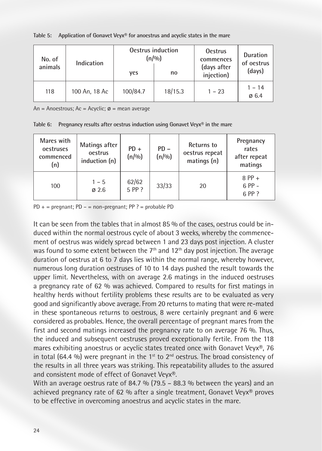| No. of  | Indication    |          | Oestrus induction<br>(n/9/0) | <b>Oestrus</b><br>commences | Duration<br>of oestrus        |  |
|---------|---------------|----------|------------------------------|-----------------------------|-------------------------------|--|
| animals |               | ves      | no                           | (days after<br>injection)   | (days)                        |  |
| 118     | 100 An, 18 Ac | 100/84.7 | 18/15.3                      | $1 - 23$                    | $1 - 14$<br>$\varnothing$ 6.4 |  |

**Table 5: Application of Gonavet Veyx® for anoestrus and acyclic states in the mare**

An = Anoestrous; Ac = Acyclic;  $\varnothing$  = mean average

**Table 6: Pregnancy results after oestrus induction using Gonavet Veyx® in the mare**

| Mares with<br>oestruses<br>commenced<br>(n) | Matings after<br>oestrus<br>induction (n) | $PD +$<br>(n/9/0) | $PD -$<br>(n/90) | Returns to<br>oestrus repeat<br>matings (n) | Pregnancy<br>rates<br>after repeat<br>matings |
|---------------------------------------------|-------------------------------------------|-------------------|------------------|---------------------------------------------|-----------------------------------------------|
| 100                                         | $1 - 5$<br>Ø2.6                           | 62/62<br>5 PP ?   | 33/33            | 20                                          | $8$ PP +<br>$6 PP -$<br>6 PP ?                |

 $PD +$  = pregnant;  $PD -$  = non-pregnant;  $PP$  ? = probable PD

It can be seen from the tables that in almost 85 % of the cases, oestrus could be induced within the normal oestrous cycle of about 3 weeks, whereby the commencement of oestrus was widely spread between 1 and 23 days post injection. A cluster was found to some extent between the  $7<sup>th</sup>$  and 12<sup>th</sup> day post injection. The average duration of oestrus at 6 to 7 days lies within the normal range, whereby however, numerous long duration oestruses of 10 to 14 days pushed the result towards the upper limit. Nevertheless, with on average 2.6 matings in the induced oestruses a pregnancy rate of 62 % was achieved. Compared to results for first matings in healthy herds without fertility problems these results are to be evaluated as very good and significantly above average. From 20 returns to mating that were re-mated in these spontaneous returns to oestrous, 8 were certainly pregnant and 6 were considered as probables. Hence, the overall percentage of pregnant mares from the first and second matings increased the pregnancy rate to on average 76 %. Thus, the induced and subsequent oestruses proved exceptionally fertile. From the 118 mares exhibiting anoestrus or acyclic states treated once with Gonavet Veyx<sup>®</sup>, 76 in total (64.4 %) were pregnant in the 1<sup>st</sup> to 2<sup>nd</sup> oestrus. The broad consistency of the results in all three years was striking. This repeatability alludes to the assured and consistent mode of effect of Gonavet Veyx®.

With an average oestrus rate of 84.7 % (79.5 – 88.3 % between the years) and an achieved pregnancy rate of 62 % after a single treatment, Gonavet Veyx® proves to be effective in overcoming anoestrus and acyclic states in the mare.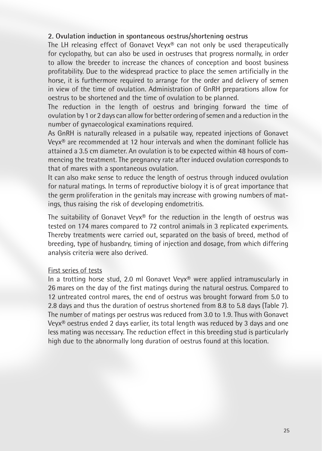### **2. Ovulation induction in spontaneous oestrus/shortening oestrus**

The LH releasing effect of Gonavet Veyx® can not only be used therapeutically for cyclopathy, but can also be used in oestruses that progress normally, in order to allow the breeder to increase the chances of conception and boost business profitability. Due to the widespread practice to place the semen artificially in the horse, it is furthermore required to arrange for the order and delivery of semen in view of the time of ovulation. Administration of GnRH preparations allow for oestrus to be shortened and the time of ovulation to be planned.

The reduction in the length of oestrus and bringing forward the time of ovulation by 1 or 2 days can allow for better ordering of semen and a reduction in the number of gynaecological examinations required.

As GnRH is naturally released in a pulsatile way, repeated injections of Gonavet Veyx® are recommended at 12 hour intervals and when the dominant follicle has attained a 3.5 cm diameter. An ovulation is to be expected within 48 hours of commencing the treatment. The pregnancy rate after induced ovulation corresponds to that of mares with a spontaneous ovulation.

It can also make sense to reduce the length of oestrus through induced ovulation for natural matings. In terms of reproductive biology it is of great importance that the germ proliferation in the genitals may increase with growing numbers of matings, thus raising the risk of developing endometritis.

The suitability of Gonavet Veyx<sup>®</sup> for the reduction in the length of oestrus was tested on 174 mares compared to 72 control animals in 3 replicated experiments. Thereby treatments were carried out, separated on the basis of breed, method of breeding, type of husbandry, timing of injection and dosage, from which differing analysis criteria were also derived.

#### First series of tests

In a trotting horse stud, 2.0 ml Gonavet Veyx® were applied intramuscularly in 26 mares on the day of the first matings during the natural oestrus. Compared to 12 untreated control mares, the end of oestrus was brought forward from 5.0 to 2.8 days and thus the duration of oestrus shortened from 8.8 to 5.8 days (Table 7). The number of matings per oestrus was reduced from 3.0 to 1.9. Thus with Gonavet Veyx® oestrus ended 2 days earlier, its total length was reduced by 3 days and one less mating was necessary. The reduction effect in this breeding stud is particularly high due to the abnormally long duration of oestrus found at this location.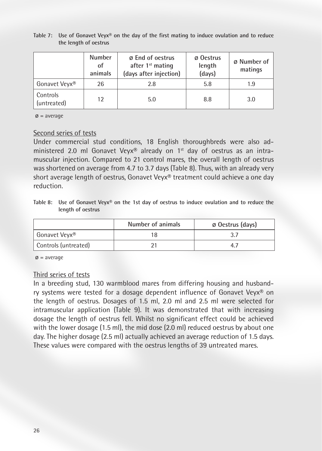|                           | <b>Number</b><br>οf<br>animals | <b>Ø</b> End of oestrus<br>after 1 <sup>st</sup> mating<br>(days after injection) | ø Oestrus<br>length<br>(days) | ø Number of<br>matings |
|---------------------------|--------------------------------|-----------------------------------------------------------------------------------|-------------------------------|------------------------|
| Gonavet Veyx <sup>®</sup> | 26                             | 2.8                                                                               | 5.8                           | 1.9                    |
| Controls<br>(untreated)   | 12                             | 5.0                                                                               | 8.8                           | 3.0                    |

**Table 7: Use of Gonavet Veyx® on the day of the first mating to induce ovulation and to reduce the length of oestrus**

 $\varnothing$  = average

#### Second series of tests

Under commercial stud conditions, 18 English thoroughbreds were also administered 2.0 ml Gonavet Veyx® already on 1st day of oestrus as an intramuscular injection. Compared to 21 control mares, the overall length of oestrus was shortened on average from 4.7 to 3.7 days (Table 8). Thus, with an already very short average length of oestrus, Gonavet Veyx® treatment could achieve a one day reduction.

**Table 8: Use of Gonavet Veyx® on the 1st day of oestrus to induce ovulation and to reduce the length of oestrus**

|                      | Number of animals | Ø Oestrus (days) |
|----------------------|-------------------|------------------|
| Gonavet Veyx®        |                   |                  |
| Controls (untreated) |                   |                  |

 $\varnothing$  = average

#### Third series of tests

In a breeding stud, 130 warmblood mares from differing housing and husbandry systems were tested for a dosage dependent influence of Gonavet Veyx® on the length of oestrus. Dosages of 1.5 ml, 2.0 ml and 2.5 ml were selected for intramuscular application (Table 9). It was demonstrated that with increasing dosage the length of oestrus fell. Whilst no significant effect could be achieved with the lower dosage (1.5 ml), the mid dose (2.0 ml) reduced oestrus by about one day. The higher dosage (2.5 ml) actually achieved an average reduction of 1.5 days. These values were compared with the oestrus lengths of 39 untreated mares.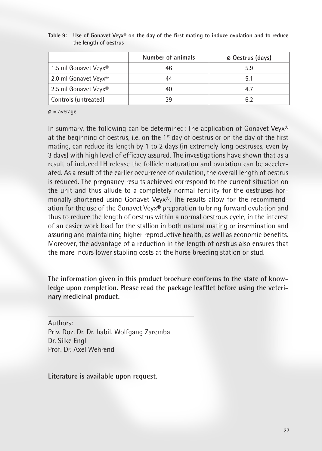|                      | Number of animals | Ø Oestrus (days) |
|----------------------|-------------------|------------------|
| 1.5 ml Gonavet Veyx® | 46                | 5.9              |
| 2.0 ml Gonavet Veyx® |                   | 5.1              |
| 2.5 ml Gonavet Veyx® |                   | 4.7              |
| Controls (untreated) |                   | 6.2              |

**Table 9: Use of Gonavet Veyx® on the day of the first mating to induce ovulation and to reduce the length of oestrus**

 $\varnothing$  = average

In summary, the following can be determined: The application of Gonavet Vey $\mathbf{x}^{\otimes}$ at the beginning of oestrus, i.e. on the  $1<sup>st</sup>$  day of oestrus or on the day of the first mating, can reduce its length by 1 to 2 days (in extremely long oestruses, even by 3 days) with high level of efficacy assured. The investigations have shown that as a result of induced LH release the follicle maturation and ovulation can be accelerated. As a result of the earlier occurrence of ovulation, the overall length of oestrus is reduced. The pregnancy results achieved correspond to the current situation on the unit and thus allude to a completely normal fertility for the oestruses hormonally shortened using Gonavet Veyx®. The results allow for the recommendation for the use of the Gonavet Veyx® preparation to bring forward ovulation and thus to reduce the length of oestrus within a normal oestrous cycle, in the interest of an easier work load for the stallion in both natural mating or insemination and assuring and maintaining higher reproductive health, as well as economic benefits. Moreover, the advantage of a reduction in the length of oestrus also ensures that the mare incurs lower stabling costs at the horse breeding station or stud.

**The information given in this product brochure conforms to the state of knowledge upon completion. Please read the package leaftlet before using the veterinary medicinal product.**

Authors: Priv. Doz. Dr. Dr. habil. Wolfgang Zaremba Dr. Silke Engl Prof. Dr. Axel Wehrend

**Literature is available upon request.**